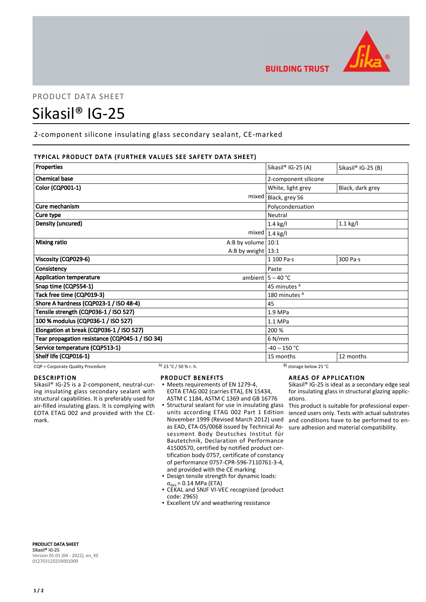

# PRODUCT DATA SHEET

# Sikasil® IG-25

2-component silicone insulating glass secondary sealant, CE-marked

# TYPICAL PRODUCT DATA (FURTHER VALUES SEE SAFETY DATA SHEET)

| Properties                                      | Sikasil® IG-25 (A)      | Sikasil® IG-25 (B) |
|-------------------------------------------------|-------------------------|--------------------|
|                                                 |                         |                    |
| <b>Chemical base</b>                            | 2-component silicone    |                    |
| <b>Color (CQP001-1)</b>                         | White, light grey       | Black, dark grey   |
| mixed                                           | Black, grey S6          |                    |
| Cure mechanism                                  | Polycondensation        |                    |
| Cure type                                       | Neutral                 |                    |
| Density (uncured)                               | $1.4$ kg/l              | $1.1$ kg/l         |
|                                                 | mixed $1.4$ kg/l        |                    |
| <b>Mixing ratio</b><br>A:B by volume $ 10:1$    |                         |                    |
| A:B by weight $13:1$                            |                         |                    |
| Viscosity (CQP029-6)                            | 1 100 Pa·s              | 300 Pa·s           |
| Consistency                                     | Paste                   |                    |
| <b>Application temperature</b>                  | ambient $5 - 40$ °C     |                    |
| Snap time (CQP554-1)                            | 45 minutes <sup>A</sup> |                    |
| Tack free time (CQP019-3)                       | 180 minutes A           |                    |
| Shore A hardness (CQP023-1 / ISO 48-4)          | 45                      |                    |
| Tensile strength (CQP036-1 / ISO 527)           | 1.9 MPa                 |                    |
| 100 % modulus (CQP036-1 / ISO 527)              | 1.1 MPa                 |                    |
| Elongation at break (CQP036-1 / ISO 527)        | 200 %                   |                    |
| Tear propagation resistance (CQP045-1 / ISO 34) | $6$ N/mm                |                    |
| Service temperature (CQP513-1)                  | $-40 - 150$ °C          |                    |
| Shelf life (CQP016-1)                           | 15 months               | 12 months          |

CQP = Corporate Quality Procedure A) 23 °C / 50 % r. h. B) storage below 25 °C

# DESCRIPTION

Sikasil® IG-25 is a 2-component, neutral-curing insulating glass secondary sealant with structural capabilities. It is preferably used for air-filled insulating glass. It is complying with EOTA ETAG 002 and provided with the CEmark.

# PRODUCT BENEFITS

- Meets requirements of EN 1279-4, EOTA ETAG 002 (carries ETA), EN 15434, ASTM C 1184, ASTM C 1369 and GB 16776
- **Structural sealant for use in insulating glass** units according ETAG 002 Part 1 Edition November 1999 (Revised March 2012) used as EAD, ETA-05/0068 issued by Technical Assessment Body Deutsches Institut für Bautetchnik, Declaration of Performance 41500570, certified by notified product certification body 0757, certificate of constancy of performance 0757-CPR-596-7110761-3-4, and provided with the CE marking
- Design tensile strength for dynamic loads:  $\sigma_{des}$  = 0.14 MPa (ETA)
- CEKAL and SNJF VI-VEC recognized (product code: 2965)
- **Excellent UV and weathering resistance**

# AREAS OF APPLICATION

Sikasil® IG-25 is ideal as a secondary edge seal for insulating glass in structural glazing applications.

This product is suitable for professional experienced users only. Tests with actual substrates and conditions have to be performed to ensure adhesion and material compatibility.

PRODUCT DATA SHEET Sikasil® IG-25 Version 05.01 (04 - 2022), en\_KE 012703120259001000